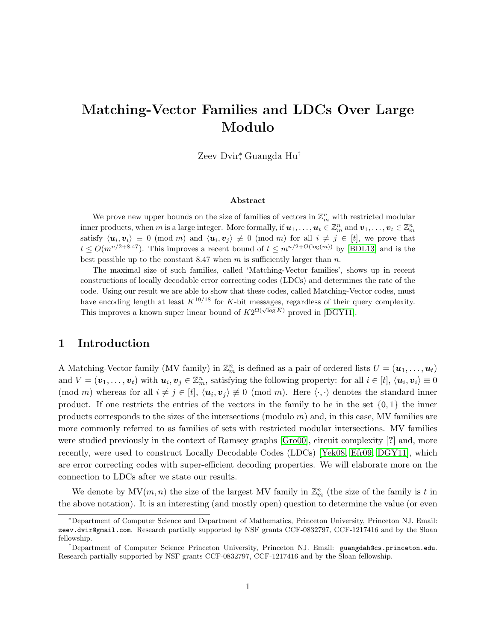# Matching-Vector Families and LDCs Over Large Modulo

Zeev Dvir<sup>∗</sup> , Guangda Hu†

#### Abstract

We prove new upper bounds on the size of families of vectors in  $\mathbb{Z}_m^n$  with restricted modular inner products, when m is a large integer. More formally, if  $u_1, \ldots, u_t \in \mathbb{Z}_m^n$  and  $v_1, \ldots, v_t \in \mathbb{Z}_m^n$ satisfy  $\langle u_i, v_i \rangle \equiv 0 \pmod{m}$  and  $\langle u_i, v_j \rangle \not\equiv 0 \pmod{m}$  for all  $i \neq j \in [t]$ , we prove that  $t \leq O(m^{n/2+8.47})$ . This improves a recent bound of  $t \leq m^{n/2+O(\log(m))}$  by [\[BDL13\]](#page-12-0) and is the best possible up to the constant 8.47 when  $m$  is sufficiently larger than  $n$ .

The maximal size of such families, called 'Matching-Vector families', shows up in recent constructions of locally decodable error correcting codes (LDCs) and determines the rate of the code. Using our result we are able to show that these codes, called Matching-Vector codes, must have encoding length at least  $K^{19/18}$  for K-bit messages, regardless of their query complexity. This improves a known super linear bound of  $K2^{\Omega(\sqrt{\log K})}$  proved in [\[DGY11\]](#page-12-1).

## 1 Introduction

A Matching-Vector family (MV family) in  $\mathbb{Z}_m^n$  is defined as a pair of ordered lists  $U = (\mathbf{u}_1, \dots, \mathbf{u}_t)$ and  $V = (\boldsymbol{v}_1, \ldots, \boldsymbol{v}_t)$  with  $\boldsymbol{u}_i, \boldsymbol{v}_j \in \mathbb{Z}_m^n$ , satisfying the following property: for all  $i \in [t]$ ,  $\langle \boldsymbol{u}_i, \boldsymbol{v}_i \rangle \equiv 0$ (mod m) whereas for all  $i \neq j \in [t], \langle u_i, v_j \rangle \neq 0 \pmod{m}$ . Here  $\langle \cdot, \cdot \rangle$  denotes the standard inner product. If one restricts the entries of the vectors in the family to be in the set  $\{0,1\}$  the inner products corresponds to the sizes of the intersections (modulo  $m$ ) and, in this case, MV families are more commonly referred to as families of sets with restricted modular intersections. MV families were studied previously in the context of Ramsey graphs [\[Gro00\]](#page-12-2), circuit complexity [?] and, more recently, were used to construct Locally Decodable Codes (LDCs) [\[Yek08,](#page-13-0) [Efr09,](#page-12-3) [DGY11\]](#page-12-1), which are error correcting codes with super-efficient decoding properties. We will elaborate more on the connection to LDCs after we state our results.

We denote by  $MV(m, n)$  the size of the largest MV family in  $\mathbb{Z}_m^n$  (the size of the family is t in the above notation). It is an interesting (and mostly open) question to determine the value (or even

<sup>∗</sup>Department of Computer Science and Department of Mathematics, Princeton University, Princeton NJ. Email: zeev.dvir@gmail.com. Research partially supported by NSF grants CCF-0832797, CCF-1217416 and by the Sloan fellowship.

<sup>†</sup>Department of Computer Science Princeton University, Princeton NJ. Email: guangdah@cs.princeton.edu. Research partially supported by NSF grants CCF-0832797, CCF-1217416 and by the Sloan fellowship.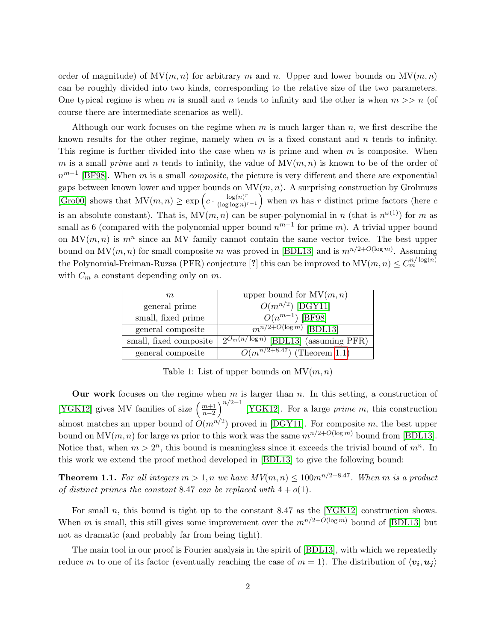order of magnitude) of  $MV(m, n)$  for arbitrary m and n. Upper and lower bounds on  $MV(m, n)$ can be roughly divided into two kinds, corresponding to the relative size of the two parameters. One typical regime is when m is small and n tends to infinity and the other is when  $m >> n$  (of course there are intermediate scenarios as well).

Although our work focuses on the regime when  $m$  is much larger than  $n$ , we first describe the known results for the other regime, namely when  $m$  is a fixed constant and  $n$  tends to infinity. This regime is further divided into the case when  $m$  is prime and when  $m$  is composite. When m is a small prime and n tends to infinity, the value of  $MV(m, n)$  is known to be of the order of  $n^{m-1}$  [\[BF98\]](#page-12-4). When m is a small *composite*, the picture is very different and there are exponential gaps between known lower and upper bounds on  $MV(m, n)$ . A surprising construction by Grolmuzs [\[Gro00\]](#page-12-2) shows that  $MV(m, n) \geq \exp\left(c \cdot \frac{\log(n)^r}{(\log\log n)^5}\right)$  $\frac{\log(n)^r}{(\log\log n)^{r-1}}$  when m has r distinct prime factors (here c is an absolute constant). That is,  $MV(m, n)$  can be super-polynomial in n (that is  $n^{\omega(1)}$ ) for m as small as 6 (compared with the polynomial upper bound  $n^{m-1}$  for prime m). A trivial upper bound on  $MV(m, n)$  is  $m^n$  since an MV family cannot contain the same vector twice. The best upper bound on  $MV(m, n)$  for small composite m was proved in [\[BDL13\]](#page-12-0) and is  $m^{n/2+O(\log m)}$ . Assuming the Polynomial-Freiman-Ruzsa (PFR) conjecture [?] this can be improved to  $MV(m, n) \leq C_m^{n/\log(n)}$ with  $C_m$  a constant depending only on  $m$ .

| m                      | upper bound for $MV(m, n)$                        |
|------------------------|---------------------------------------------------|
| general prime          | $O(m^{n/2})$ [DGY11]                              |
| small, fixed prime     | $\overline{O(n^{m-1})$ [BF98]                     |
| general composite      | $m^{n/2+O(\log m)}$ [BDL13]                       |
| small, fixed composite | $\sqrt{2^{O_m(n/\log n)}}$ [BDL13] (assuming PFR) |
| general composite      | $O(m^{n/2+8.47})$ (Theorem 1.1)                   |

Table 1: List of upper bounds on  $MV(m, n)$ 

Our work focuses on the regime when  $m$  is larger than  $n$ . In this setting, a construction of [\[YGK12\]](#page-13-1) gives MV families of size  $\left(\frac{m+1}{n-2}\right)^{n/2-1}$  [YGK12]. For a large *prime m*, this construction almost matches an upper bound of  $O(m^{n/2})$  proved in [\[DGY11\]](#page-12-1). For composite m, the best upper bound on  $MV(m, n)$  for large m prior to this work was the same  $m^{n/2+O(\log m)}$  bound from [\[BDL13\]](#page-12-0). Notice that, when  $m > 2<sup>n</sup>$ , this bound is meaningless since it exceeds the trivial bound of  $m<sup>n</sup>$ . In this work we extend the proof method developed in [\[BDL13\]](#page-12-0) to give the following bound:

<span id="page-1-0"></span>**Theorem 1.1.** For all integers  $m > 1$ , n we have  $MV(m, n) \leq 100m^{n/2+8.47}$ . When m is a product of distinct primes the constant 8.47 can be replaced with  $4 + o(1)$ .

For small n, this bound is tight up to the constant 8.47 as the [\[YGK12\]](#page-13-1) construction shows. When m is small, this still gives some improvement over the  $m^{n/2+O(\log m)}$  bound of [\[BDL13\]](#page-12-0) but not as dramatic (and probably far from being tight).

The main tool in our proof is Fourier analysis in the spirit of [\[BDL13\]](#page-12-0), with which we repeatedly reduce m to one of its factor (eventually reaching the case of  $m = 1$ ). The distribution of  $\langle v_i, u_i \rangle$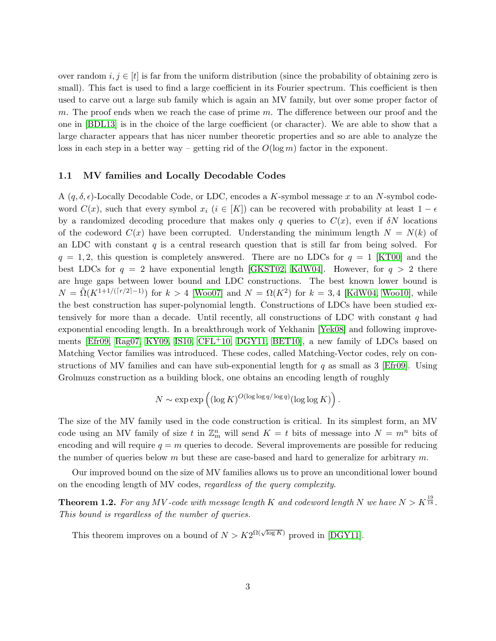over random  $i, j \in [t]$  is far from the uniform distribution (since the probability of obtaining zero is small). This fact is used to find a large coefficient in its Fourier spectrum. This coefficient is then used to carve out a large sub family which is again an MV family, but over some proper factor of m. The proof ends when we reach the case of prime  $m$ . The difference between our proof and the one in [\[BDL13\]](#page-12-0) is in the choice of the large coefficient (or character). We are able to show that a large character appears that has nicer number theoretic properties and so are able to analyze the loss in each step in a better way – getting rid of the  $O(\log m)$  factor in the exponent.

#### 1.1 MV families and Locally Decodable Codes

A  $(q, \delta, \epsilon)$ -Locally Decodable Code, or LDC, encodes a K-symbol message x to an N-symbol codeword  $C(x)$ , such that every symbol  $x_i$  ( $i \in [K]$ ) can be recovered with probability at least  $1 - \epsilon$ by a randomized decoding procedure that makes only q queries to  $C(x)$ , even if  $\delta N$  locations of the codeword  $C(x)$  have been corrupted. Understanding the minimum length  $N = N(k)$  of an LDC with constant  $q$  is a central research question that is still far from being solved. For  $q = 1, 2$ , this question is completely answered. There are no LDCs for  $q = 1$  [\[KT00\]](#page-12-5) and the best LDCs for  $q = 2$  have exponential length [\[GKST02,](#page-12-6) [KdW04\]](#page-12-7). However, for  $q > 2$  there are huge gaps between lower bound and LDC constructions. The best known lower bound is  $N = \tilde{\Omega}(K^{1+1/(\lceil r/2 \rceil-1)})$  for  $k > 4$  [\[Woo07\]](#page-13-2) and  $N = \Omega(K^2)$  for  $k = 3, 4$  [\[KdW04,](#page-12-7) [Woo10\]](#page-13-3), while the best construction has super-polynomial length. Constructions of LDCs have been studied extensively for more than a decade. Until recently, all constructions of LDC with constant  $q$  had exponential encoding length. In a breakthrough work of Yekhanin [\[Yek08\]](#page-13-0) and following improvements [\[Efr09,](#page-12-3) [Rag07,](#page-12-8) [KY09,](#page-12-9) [IS10,](#page-12-10) [CFL](#page-12-11)+10, [DGY11,](#page-12-1) [BET10\]](#page-12-12), a new family of LDCs based on Matching Vector families was introduced. These codes, called Matching-Vector codes, rely on constructions of MV families and can have sub-exponential length for  $q$  as small as 3 [\[Efr09\]](#page-12-3). Using Grolmuzs construction as a building block, one obtains an encoding length of roughly

$$
N \sim \exp \exp \left( (\log K)^{O(\log \log q/\log q)} (\log \log K) \right).
$$

The size of the MV family used in the code construction is critical. In its simplest form, an MV code using an MV family of size t in  $\mathbb{Z}_m^n$  will send  $K = t$  bits of message into  $N = m^n$  bits of encoding and will require  $q = m$  queries to decode. Several improvements are possible for reducing the number of queries below m but these are case-based and hard to generalize for arbitrary  $m$ .

Our improved bound on the size of MV families allows us to prove an unconditional lower bound on the encoding length of MV codes, regardless of the query complexity.

<span id="page-2-0"></span>**Theorem 1.2.** For any MV-code with message length K and codeword length N we have  $N > K^{\frac{19}{18}}$ . This bound is regardless of the number of queries.

This theorem improves on a bound of  $N > K2^{\Omega(\sqrt{\log K})}$  proved in [\[DGY11\]](#page-12-1).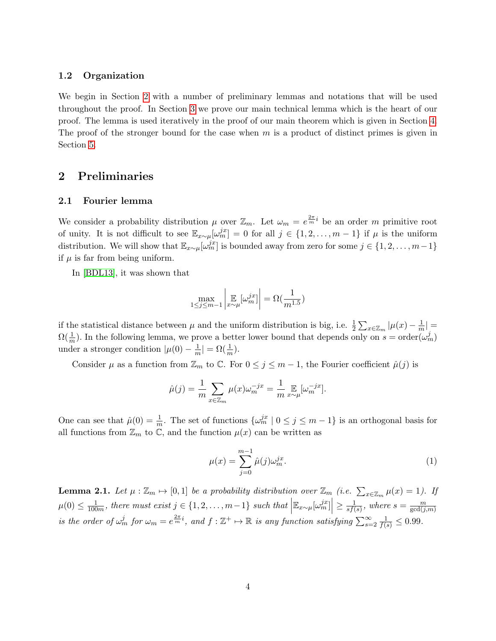#### 1.2 Organization

We begin in Section [2](#page-3-0) with a number of preliminary lemmas and notations that will be used throughout the proof. In Section [3](#page-6-0) we prove our main technical lemma which is the heart of our proof. The lemma is used iteratively in the proof of our main theorem which is given in Section [4.](#page-9-0) The proof of the stronger bound for the case when  $m$  is a product of distinct primes is given in Section [5.](#page-10-0)

## <span id="page-3-0"></span>2 Preliminaries

#### 2.1 Fourier lemma

We consider a probability distribution  $\mu$  over  $\mathbb{Z}_m$ . Let  $\omega_m = e^{\frac{2\pi}{m}i}$  be an order m primitive root of unity. It is not difficult to see  $\mathbb{E}_{x\sim\mu}[\omega_m^{j}]=0$  for all  $j\in\{1,2,\ldots,m-1\}$  if  $\mu$  is the uniform distribution. We will show that  $\mathbb{E}_{x\sim\mu}[\omega_m^{jx}]$  is bounded away from zero for some  $j \in \{1, 2, \ldots, m-1\}$ if  $\mu$  is far from being uniform.

In [\[BDL13\]](#page-12-0), it was shown that

$$
\max_{1 \le j \le m-1} \left| \mathbb{E}_{x \sim \mu} [\omega_m^{jx}] \right| = \Omega(\frac{1}{m^{1.5}})
$$

if the statistical distance between  $\mu$  and the uniform distribution is big, i.e.  $\frac{1}{2} \sum_{x \in \mathbb{Z}_m} |\mu(x) - \frac{1}{m}\mu(x)|$  $\frac{1}{m}$ |  $=$  $\Omega(\frac{1}{m})$ . In the following lemma, we prove a better lower bound that depends only on  $s = \text{order}(\omega_m^j)$ under a stronger condition  $|\mu(0) - \frac{1}{m}|$  $\frac{1}{m}| = \Omega(\frac{1}{m}).$ 

Consider  $\mu$  as a function from  $\mathbb{Z}_m$  to  $\mathbb{C}$ . For  $0 \leq j \leq m-1$ , the Fourier coefficient  $\hat{\mu}(j)$  is

$$
\hat{\mu}(j) = \frac{1}{m} \sum_{x \in \mathbb{Z}_m} \mu(x) \omega_m^{-jx} = \frac{1}{m} \mathbb{E}_{x \sim \mu} [\omega_m^{-jx}].
$$

One can see that  $\hat{\mu}(0) = \frac{1}{m}$ . The set of functions  $\{\omega_m^{jx} \mid 0 \le j \le m-1\}$  is an orthogonal basis for all functions from  $\mathbb{Z}_m$  to  $\mathbb{C}$ , and the function  $\mu(x)$  can be written as

<span id="page-3-1"></span>
$$
\mu(x) = \sum_{j=0}^{m-1} \hat{\mu}(j)\omega_m^{jx}.\tag{1}
$$

<span id="page-3-2"></span>**Lemma 2.1.** Let  $\mu : \mathbb{Z}_m \mapsto [0,1]$  be a probability distribution over  $\mathbb{Z}_m$  (i.e.  $\sum_{x \in \mathbb{Z}_m} \mu(x) = 1$ ). If  $\mu(0) \leq \frac{1}{100}$  $\frac{1}{100m}$ , there must exist  $j \in \{1, 2, \ldots, m-1\}$  such that  $\left| \mathbb{E}_{x \sim \mu}[\omega_m^{jx}] \right| \geq \frac{1}{sf(n)}$  $\frac{1}{sf(s)}$ , where  $s = \frac{m}{gcd(j)}$  $gcd(j,m)$ is the order of  $\omega_m^j$  for  $\omega_m = e^{\frac{2\pi}{m}i}$ , and  $f : \mathbb{Z}^+ \mapsto \mathbb{R}$  is any function satisfying  $\sum_{s=2}^{\infty} \frac{1}{f(s)} \leq 0.99$ .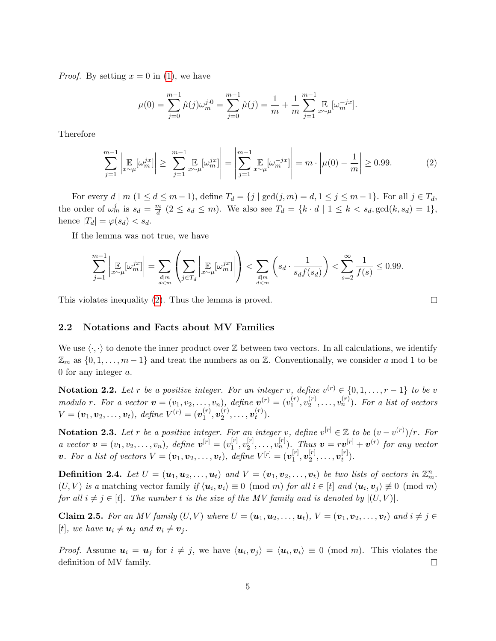*Proof.* By setting  $x = 0$  in [\(1\)](#page-3-1), we have

$$
\mu(0) = \sum_{j=0}^{m-1} \hat{\mu}(j) \omega_m^{j \cdot 0} = \sum_{j=0}^{m-1} \hat{\mu}(j) = \frac{1}{m} + \frac{1}{m} \sum_{j=1}^{m-1} \mathbb{E}_{x \sim \mu}[\omega_m^{-jx}].
$$

Therefore

<span id="page-4-0"></span>
$$
\sum_{j=1}^{m-1} \left| \mathop{\mathbb{E}}_{x \sim \mu} [\omega_m^{jx}] \right| \ge \left| \sum_{j=1}^{m-1} \mathop{\mathbb{E}}_{x \sim \mu} [\omega_m^{jx}] \right| = \left| \sum_{j=1}^{m-1} \mathop{\mathbb{E}}_{x \sim \mu} [\omega_m^{-jx}] \right| = m \cdot \left| \mu(0) - \frac{1}{m} \right| \ge 0.99. \tag{2}
$$

For every  $d \mid m \ (1 \leq d \leq m-1)$ , define  $T_d = \{j \mid \gcd(j,m) = d, 1 \leq j \leq m-1\}$ . For all  $j \in T_d$ , the order of  $\omega_m^j$  is  $s_d = \frac{m}{d}$  $\frac{m}{d}$  (2  $\leq s_d \leq m$ ). We also see  $T_d = \{k \cdot d \mid 1 \leq k < s_d, \gcd(k, s_d) = 1\},\$ hence  $|T_d| = \varphi(s_d) < s_d$ .

If the lemma was not true, we have

$$
\sum_{j=1}^{m-1} \left| \mathop{\mathbb{E}}_{x \sim \mu} [\omega_m^{jx}] \right| = \sum_{\substack{d \mid m \\ d < m}} \left( \sum_{j \in T_d} \left| \mathop{\mathbb{E}}_{x \sim \mu} [\omega_m^{jx}] \right| \right) < \sum_{\substack{d \mid m \\ d < m}} \left( s_d \cdot \frac{1}{s_d f(s_d)} \right) < \sum_{s=2}^{\infty} \frac{1}{f(s)} \le 0.99.
$$

This violates inequality [\(2\)](#page-4-0). Thus the lemma is proved.

2.2 Notations and Facts about MV Families

We use  $\langle \cdot, \cdot \rangle$  to denote the inner product over  $\mathbb Z$  between two vectors. In all calculations, we identify  $\mathbb{Z}_m$  as  $\{0, 1, \ldots, m-1\}$  and treat the numbers as on  $\mathbb{Z}$ . Conventionally, we consider a mod 1 to be 0 for any integer a.

**Notation 2.2.** Let r be a positive integer. For an integer v, define  $v^{(r)} \in \{0, 1, \ldots, r-1\}$  to be v modulo r. For a vector  $\mathbf{v} = (v_1, v_2, \dots, v_n)$ , define  $\mathbf{v}^{(r)} = (v_1^{(r)})$  $\binom{(r)}{1}, \upsilon_2^{(r)}$  $\mathbf{v}_2^{(r)}, \ldots, \mathbf{v}_n^{(r)}$ ). For a list of vectors  $V = (\bm{v}_1, \bm{v}_2, \dots, \bm{v}_t), \text{ define } V^{(r)} = (\bm{v}_1^{(r)})$  $\mathbf{u}_1^{(r)},\mathbf{v}_2^{(r)}$  $\mathbf{v}_2^{(r)},\ldots,\mathbf{v}_t^{(r)}$  $\binom{(T)}{t}$ .

**Notation 2.3.** Let r be a positive integer. For an integer v, define  $v^{[r]} \in \mathbb{Z}$  to be  $(v - v^{(r)})/r$ . For *a* vector  $\mathbf{v} = (v_1, v_2, \dots, v_n)$ , define  $\mathbf{v}^{[r]} = (v_1^{[r]})$  $\genfrac{[}{]}{0pt}{}{r}{1},v_{2}^{[r]}$  $\mathbf{v}_2^{[r]}, \ldots, \mathbf{v}_n^{[r]}$ ). Thus  $\mathbf{v} = r\mathbf{v}^{[r]} + \mathbf{v}^{(r)}$  for any vector **v**. For a list of vectors  $V = (\boldsymbol{v}_1, \boldsymbol{v}_2, \dots, \boldsymbol{v}_t), \text{ define } V^{[r]} = (\boldsymbol{v}_1^{[r]})$  $_{1}^{[r]},\boldsymbol{v}_{2}^{[r]}$  $\bm{v}_2^{[r]},\ldots,\bm{v}_t^{[r]}$  $\binom{[T]}{t}$ .

**Definition 2.4.** Let  $U = (\boldsymbol{u}_1, \boldsymbol{u}_2, \dots, \boldsymbol{u}_t)$  and  $V = (\boldsymbol{v}_1, \boldsymbol{v}_2, \dots, \boldsymbol{v}_t)$  be two lists of vectors in  $\mathbb{Z}_m^n$ .  $(U, V)$  is a matching vector family if  $\langle u_i, v_i \rangle \equiv 0 \pmod{m}$  for all  $i \in [t]$  and  $\langle u_i, v_j \rangle \not\equiv 0 \pmod{m}$ for all  $i \neq j \in [t]$ . The number t is the size of the MV family and is denoted by  $|(U, V)|$ .

<span id="page-4-1"></span>Claim 2.5. For an MV family  $(U, V)$  where  $U = (\mathbf{u}_1, \mathbf{u}_2, \dots, \mathbf{u}_t)$ ,  $V = (\mathbf{v}_1, \mathbf{v}_2, \dots, \mathbf{v}_t)$  and  $i \neq j \in$ [t], we have  $u_i \neq u_j$  and  $v_i \neq v_j$ .

*Proof.* Assume  $u_i = u_j$  for  $i \neq j$ , we have  $\langle u_i, v_j \rangle = \langle u_i, v_i \rangle \equiv 0 \pmod{m}$ . This violates the definition of MV family.  $\Box$ 

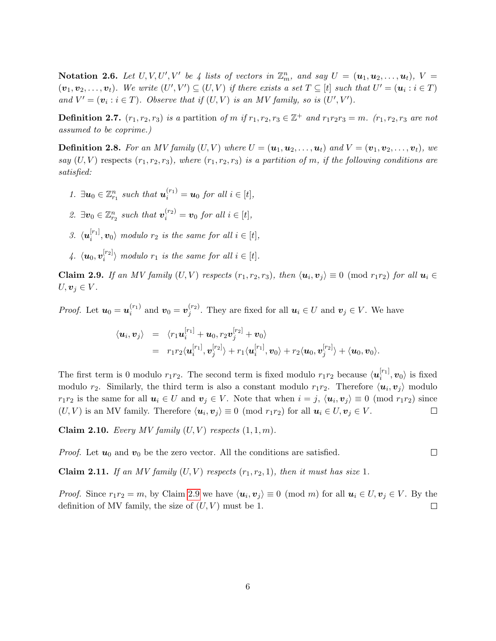Notation 2.6. Let  $U, V, U', V'$  be 4 lists of vectors in  $\mathbb{Z}_m^n$ , and say  $U = (\mathbf{u}_1, \mathbf{u}_2, \dots, \mathbf{u}_t), V =$  $(v_1, v_2, \ldots, v_t)$ . We write  $(U', V') \subseteq (U, V)$  if there exists a set  $T \subseteq [t]$  such that  $U' = (u_i : i \in T)$ and  $V' = (v_i : i \in T)$ . Observe that if  $(U, V)$  is an MV family, so is  $(U', V')$ .

**Definition 2.7.**  $(r_1, r_2, r_3)$  is a partition of m if  $r_1, r_2, r_3 \in \mathbb{Z}^+$  and  $r_1r_2r_3 = m$ .  $(r_1, r_2, r_3$  are not assumed to be coprime.)

**Definition 2.8.** For an MV family  $(U, V)$  where  $U = (\mathbf{u}_1, \mathbf{u}_2, \dots, \mathbf{u}_t)$  and  $V = (\mathbf{v}_1, \mathbf{v}_2, \dots, \mathbf{v}_t)$ , we say  $(U, V)$  respects  $(r_1, r_2, r_3)$ , where  $(r_1, r_2, r_3)$  is a partition of m, if the following conditions are satisfied:

- 1.  $\exists u_0 \in \mathbb{Z}_{r_1}^n$  such that  $\mathbf{u}_i^{(r_1)} = \mathbf{u}_0$  for all  $i \in [t]$ ,
- 2.  $\exists v_0 \in \mathbb{Z}_{r_2}^n$  such that  $v_i^{(r_2)} = v_0$  for all  $i \in [t]$ ,
- 3.  $\langle \boldsymbol{u}^{[r_1]}_i$  $\langle v_1^{[r_1]}, v_0 \rangle$  modulo  $r_2$  is the same for all  $i \in [t]$ ,
- $\mu$ .  $\langle \boldsymbol{u}_0, \boldsymbol{v}_i^{[r_2]} \rangle$  $\binom{[r_2]}{i}$  modulo  $r_1$  is the same for all  $i \in [t]$ .

<span id="page-5-0"></span>**Claim 2.9.** If an MV family  $(U, V)$  respects  $(r_1, r_2, r_3)$ , then  $\langle u_i, v_j \rangle \equiv 0 \pmod{r_1 r_2}$  for all  $u_i \in$  $U, \boldsymbol{v}_j \in V$ .

*Proof.* Let  $u_0 = u_i^{(r_1)}$  $\mathbf{v}_i^{(r_1)}$  and  $\mathbf{v}_0 = \mathbf{v}_j^{(r_2)}$  $j_j^{(r_2)}$ . They are fixed for all  $u_i \in U$  and  $v_j \in V$ . We have

$$
\langle \boldsymbol{u}_i, \boldsymbol{v}_j \rangle = \langle r_1 \boldsymbol{u}_i^{[r_1]} + \boldsymbol{u}_0, r_2 \boldsymbol{v}_j^{[r_2]} + \boldsymbol{v}_0 \rangle
$$
  
=  $r_1 r_2 \langle \boldsymbol{u}_i^{[r_1]}, \boldsymbol{v}_j^{[r_2]} \rangle + r_1 \langle \boldsymbol{u}_i^{[r_1]}, \boldsymbol{v}_0 \rangle + r_2 \langle \boldsymbol{u}_0, \boldsymbol{v}_j^{[r_2]} \rangle + \langle \boldsymbol{u}_0, \boldsymbol{v}_0 \rangle.$ 

The first term is 0 modulo  $r_1r_2$ . The second term is fixed modulo  $r_1r_2$  because  $\langle \mathbf{u}_i^{[r_1]} \rangle$  $\langle i^{(r_1)}, v_0 \rangle$  is fixed modulo  $r_2$ . Similarly, the third term is also a constant modulo  $r_1r_2$ . Therefore  $\langle u_i, v_j \rangle$  modulo  $r_1r_2$  is the same for all  $u_i \in U$  and  $v_j \in V$ . Note that when  $i = j$ ,  $\langle u_i, v_j \rangle \equiv 0 \pmod{r_1r_2}$  since  $(U, V)$  is an MV family. Therefore  $\langle u_i, v_j \rangle \equiv 0 \pmod{r_1 r_2}$  for all  $u_i \in U, v_j \in V$ .  $\Box$ 

<span id="page-5-1"></span>Claim 2.10. Every MV family  $(U, V)$  respects  $(1, 1, m)$ .

*Proof.* Let  $u_0$  and  $v_0$  be the zero vector. All the conditions are satisfied.

<span id="page-5-2"></span>**Claim 2.11.** If an MV family  $(U, V)$  respects  $(r_1, r_2, 1)$ , then it must has size 1.

*Proof.* Since  $r_1r_2 = m$ , by Claim [2.9](#page-5-0) we have  $\langle u_i, v_j \rangle \equiv 0 \pmod{m}$  for all  $u_i \in U, v_j \in V$ . By the definition of MV family, the size of  $(U, V)$  must be 1.  $\Box$ 

 $\Box$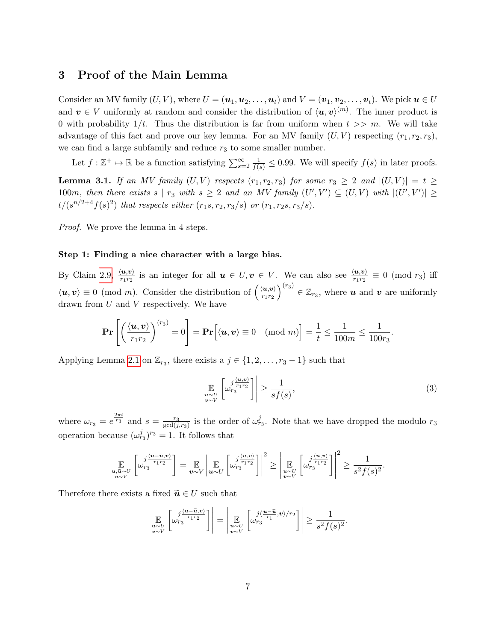## <span id="page-6-0"></span>3 Proof of the Main Lemma

Consider an MV family  $(U, V)$ , where  $U = (\boldsymbol{u}_1, \boldsymbol{u}_2, \dots, \boldsymbol{u}_t)$  and  $V = (\boldsymbol{v}_1, \boldsymbol{v}_2, \dots, \boldsymbol{v}_t)$ . We pick  $\boldsymbol{u} \in U$ and  $v \in V$  uniformly at random and consider the distribution of  $\langle u, v \rangle^{(m)}$ . The inner product is 0 with probability  $1/t$ . Thus the distribution is far from uniform when  $t >> m$ . We will take advantage of this fact and prove our key lemma. For an MV family  $(U, V)$  respecting  $(r_1, r_2, r_3)$ , we can find a large subfamily and reduce  $r_3$  to some smaller number.

Let  $f : \mathbb{Z}^+ \mapsto \mathbb{R}$  be a function satisfying  $\sum_{s=2}^{\infty} \frac{1}{f(s)} \leq 0.99$ . We will specify  $f(s)$  in later proofs.

<span id="page-6-1"></span>**Lemma 3.1.** If an MV family  $(U, V)$  respects  $(r_1, r_2, r_3)$  for some  $r_3 \geq 2$  and  $|(U, V)| = t \geq$ 100m, then there exists s |  $r_3$  with  $s \geq 2$  and an MV family  $(U', V') \subseteq (U, V)$  with  $|(U', V')| \geq$  $t/(s^{n/2+4}f(s)^2)$  that respects either  $(r_1s, r_2, r_3/s)$  or  $(r_1, r_2s, r_3/s)$ .

Proof. We prove the lemma in 4 steps.

#### Step 1: Finding a nice character with a large bias.

By Claim [2.9,](#page-5-0)  $\frac{\langle u,v\rangle}{r_1r_2}$  is an integer for all  $u \in U, v \in V$ . We can also see  $\frac{\langle u,v\rangle}{r_1r_2} \equiv 0 \pmod{r_3}$  iff  $\langle u, v \rangle \equiv 0 \pmod{m}$ . Consider the distribution of  $\left(\frac{\langle u, v \rangle}{\langle v, v \rangle}\right)$  $r_1r_2$  $\left( \int_{r_3}^{r_3} \xi \, d\mathbf{z}_r$  where **u** and **v** are uniformly drawn from U and V respectively. We have

$$
\mathbf{Pr}\left[\left(\frac{\langle \boldsymbol{u}, \boldsymbol{v} \rangle}{r_1 r_2}\right)^{(r_3)} = 0\right] = \mathbf{Pr}\left[\langle \boldsymbol{u}, \boldsymbol{v} \rangle \equiv 0 \pmod{m}\right] = \frac{1}{t} \le \frac{1}{100m} \le \frac{1}{100r_3}.
$$

Applying Lemma [2.1](#page-3-2) on  $\mathbb{Z}_{r_3}$ , there exists a  $j \in \{1, 2, \ldots, r_3 - 1\}$  such that

<span id="page-6-2"></span>
$$
\left| \mathop{\mathbb{E}}_{\substack{u \sim U \\ v \sim V}} \left[ \omega_{r_3}^{\frac{j(u,v)}{r_1 r_2}} \right] \right| \ge \frac{1}{s f(s)},\tag{3}
$$

where  $\omega_{r_3} = e^{\frac{2\pi i}{r_3}}$  and  $s = \frac{r_3}{\gcd(i)}$  $\frac{r_3}{\gcd(j,r_3)}$  is the order of  $\omega_{r_3}^j$ . Note that we have dropped the modulo  $r_3$ operation because  $(\omega_{r_3}^j)^{r_3} = 1$ . It follows that

$$
\mathop{\mathbb{E}}_{\substack{\mathbf{u}, \tilde{\mathbf{u}} \sim U \\ \mathbf{v} \sim V}} \left[ \omega_{r_3}^{j \frac{\langle \mathbf{u} - \tilde{\mathbf{u}}, \mathbf{v} \rangle}{r_1 r_2}} \right] = \mathop{\mathbb{E}}_{\mathbf{v} \sim V} \left| \mathop{\mathbb{E}}_{\mathbf{u} \sim U} \left[ \omega_{r_3}^{j \frac{\langle \mathbf{u}, \mathbf{v} \rangle}{r_1 r_2}} \right] \right|^2 \ge \left| \mathop{\mathbb{E}}_{\substack{\mathbf{u} \sim U \\ \mathbf{v} \sim V}} \left[ \omega_{r_3}^{j \frac{\langle \mathbf{u}, \mathbf{v} \rangle}{r_1 r_2}} \right] \right|^2 \ge \frac{1}{s^2 f(s)^2}.
$$

Therefore there exists a fixed  $\widetilde{\mathbf{u}} \in U$  such that

$$
\left|\mathop{\mathbb{E}}\limits_{\substack{u\sim U\\v\sim V}}\left[\omega_{r_3}^{\frac{j(u-\widetilde{u},v)}{r_1r_2}}\right]\right|=\left|\mathop{\mathbb{E}}\limits_{\substack{u\sim U\\v\sim V}}\left[\omega_{r_3}^{\frac{j(u-\widetilde{u},v)}{r_1},v}\right] \right|\geq \frac{1}{s^2f(s)^2}.
$$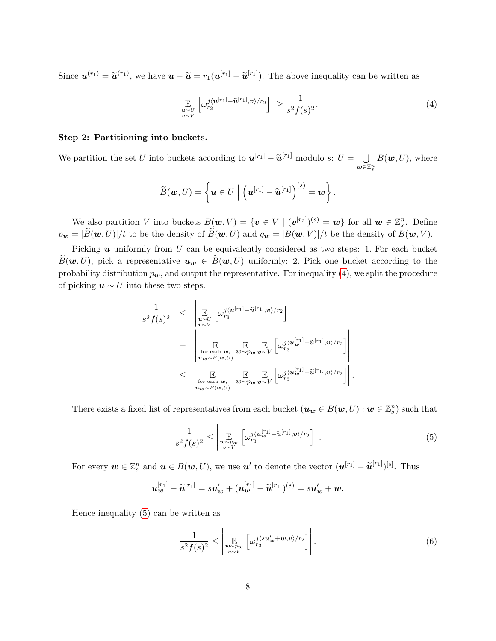Since  $\mathbf{u}^{(r_1)} = \widetilde{\mathbf{u}}^{(r_1)}$ , we have  $\mathbf{u} - \widetilde{\mathbf{u}} = r_1(\mathbf{u}^{[r_1]} - \widetilde{\mathbf{u}}^{[r_1]})$ . The above inequality can be written as

<span id="page-7-0"></span>
$$
\left| \mathop{\mathbb{E}}_{\substack{\mathbf{u} \sim U \\ \mathbf{v} \sim V}} \left[ \omega_{r_3}^{j(\mathbf{u}^{[r_1]} - \widetilde{\mathbf{u}}^{[r_1]}, \mathbf{v})/r_2} \right] \right| \ge \frac{1}{s^2 f(s)^2}.
$$
\n(4)

#### Step 2: Partitioning into buckets.

We partition the set U into buckets according to  $u^{[r_1]} - \widetilde{u}^{[r_1]}$  modulo s:  $U = \bigcup_{w \in \mathbb{Z}}$  $\tilde{\bm{w}}$ ∈ $\mathbb{Z}^n_s$  $B(w, U)$ , where

$$
\widetilde{B}(\boldsymbol{w},U)=\left\{\boldsymbol{u}\in U\bigm| \left(\boldsymbol{u}^{[r_1]}-\widetilde{\boldsymbol{u}}^{[r_1]}\right)^{(s)}=\boldsymbol{w}\right\}.
$$

We also partition V into buckets  $B(w, V) = \{v \in V \mid (v^{[r_2]})^{(s)} = w\}$  for all  $w \in \mathbb{Z}_{s}^{n}$ . Define  $p_{\mathbf{w}} = |\widetilde{B}(\mathbf{w}, U)|/t$  to be the density of  $\widetilde{B}(\mathbf{w}, U)$  and  $q_{\mathbf{w}} = |B(\mathbf{w}, V)|/t$  be the density of  $B(\mathbf{w}, V)$ .

Picking  $u$  uniformly from  $U$  can be equivalently considered as two steps: 1. For each bucket  $\widetilde{B}(\boldsymbol{w}, U)$ , pick a representative  $\boldsymbol{u}_{\boldsymbol{w}} \in \widetilde{B}(\boldsymbol{w}, U)$  uniformly; 2. Pick one bucket according to the probability distribution  $p_{w}$ , and output the representative. For inequality [\(4\)](#page-7-0), we split the procedure of picking  $u \sim U$  into these two steps.

$$
\frac{1}{s^2 f(s)^2} \leq \left| \mathop{\mathbb{E}}_{\substack{u \sim U \\ v \sim V}} \left[ \omega_{r_3}^{j \langle u^{[r_1]} - \tilde{u}^{[r_1]}, v \rangle / r_2} \right] \right|
$$
\n
$$
= \left| \mathop{\mathbb{E}}_{\substack{v \sim V \\ u_{w} \sim \tilde{B}(w, U)}} \mathop{\mathbb{E}}_{\substack{w \sim p_w \\ v \sim V}} \mathop{\mathbb{E}}_{v \sim V} \left[ \omega_{r_3}^{j \langle u_w^{[r_1]} - \tilde{u}^{[r_1]}, v \rangle / r_2} \right] \right|
$$
\n
$$
\leq \left| \mathop{\mathbb{E}}_{\substack{v \sim \tilde{B}(w, U) \\ u_w \sim \tilde{B}(w, U)}} \right| \mathop{\mathbb{E}}_{\substack{w \sim p_w \\ w \sim V}} \mathop{\mathbb{E}}_{v \sim V} \left[ \omega_{r_3}^{j \langle u_w^{[r_1]} - \tilde{u}^{[r_1]}, v \rangle / r_2} \right]
$$

<span id="page-7-1"></span>There exists a fixed list of representatives from each bucket  $(\boldsymbol{u_w} \in B(\boldsymbol{w}, U) : \boldsymbol{w} \in \mathbb{Z}_s^n)$  such that

$$
\frac{1}{s^2 f(s)^2} \le \left| \mathbb{E}_{\substack{\mathbf{w} \sim p_{\mathbf{w}} \\ \mathbf{v} \sim V}} \left[ \omega_{r_3}^{j \langle \mathbf{u}_{\mathbf{w}}^{[r_1]} - \tilde{\mathbf{u}}^{[r_1]}, \mathbf{v} \rangle / r_2} \right] \right|.
$$
 (5)

.

For every  $w \in \mathbb{Z}_s^n$  and  $u \in B(w, U)$ , we use  $u'$  to denote the vector  $(u^{[r_1]} - \widetilde{u}^{[r_1]})^{[s]}$ . Thus

$$
\boldsymbol{u}_{\boldsymbol{w}}^{[r_1]}-\widetilde{\boldsymbol{u}}^{[r_1]}=s\boldsymbol{u}_{\boldsymbol{w}}'+(\boldsymbol{u}_{\boldsymbol{w}}^{[r_1]}-\widetilde{\boldsymbol{u}}^{[r_1]})^{(s)}=s\boldsymbol{u}_{\boldsymbol{w}}'+\boldsymbol{w}.
$$

Hence inequality [\(5\)](#page-7-1) can be written as

<span id="page-7-2"></span>
$$
\frac{1}{s^2 f(s)^2} \le \left| \mathop{\mathbb{E}}_{\substack{w \sim p_w \\ v \sim V}} \left[ \omega_{r_3}^{j \langle s u'_w + w, v \rangle / r_2} \right] \right|.
$$
 (6)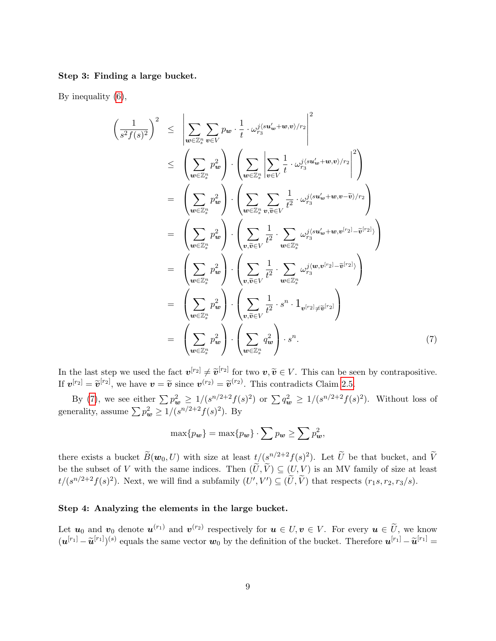#### Step 3: Finding a large bucket.

<span id="page-8-0"></span> $\sqrt{ }$ 

By inequality [\(6\)](#page-7-2),

$$
\frac{1}{s^2 f(s)^2} \Big)^2 \leq \left| \sum_{\mathbf{w} \in \mathbb{Z}_s^n} \sum_{v \in V} p_{\mathbf{w}} \cdot \frac{1}{t} \cdot \omega_{r_3}^{j \langle \mathbf{su}'_{\mathbf{w}} + \mathbf{w}, v \rangle / r_2} \right|^2
$$
\n
$$
\leq \left( \sum_{\mathbf{w} \in \mathbb{Z}_s^n} p_{\mathbf{w}}^2 \right) \cdot \left( \sum_{\mathbf{w} \in \mathbb{Z}_s^n} \left| \sum_{v \in V} \frac{1}{t} \cdot \omega_{r_3}^{j \langle \mathbf{su}'_{\mathbf{w}} + \mathbf{w}, v \rangle / r_2} \right|^2 \right)
$$
\n
$$
= \left( \sum_{\mathbf{w} \in \mathbb{Z}_s^n} p_{\mathbf{w}}^2 \right) \cdot \left( \sum_{\mathbf{w} \in \mathbb{Z}_s^n} \sum_{v, \tilde{v} \in V} \frac{1}{t^2} \cdot \omega_{r_3}^{j \langle \mathbf{su}'_{\mathbf{w}} + \mathbf{w}, v - \tilde{v} \rangle / r_2} \right)
$$
\n
$$
= \left( \sum_{\mathbf{w} \in \mathbb{Z}_s^n} p_{\mathbf{w}}^2 \right) \cdot \left( \sum_{v, \tilde{v} \in V} \frac{1}{t^2} \cdot \sum_{\mathbf{w} \in \mathbb{Z}_s^n} \omega_{r_3}^{j \langle \mathbf{su}'_{\mathbf{w}} + \mathbf{w}, v^{[r_2]} - \tilde{v}^{[r_2]} \rangle} \right)
$$
\n
$$
= \left( \sum_{\mathbf{w} \in \mathbb{Z}_s^n} p_{\mathbf{w}}^2 \right) \cdot \left( \sum_{v, \tilde{v} \in V} \frac{1}{t^2} \cdot \sum_{\mathbf{w} \in \mathbb{Z}_s^n} \omega_{r_3}^{j \langle \mathbf{w}, \mathbf{w}^{[r_2]} - \tilde{v}^{[r_2]} \rangle} \right)
$$
\n
$$
= \left( \sum_{\mathbf{w} \in \mathbb{Z}_s^n} p_{\mathbf{w}}^2 \right) \cdot \left( \sum_{v, \tilde{v} \
$$

In the last step we used the fact  $v^{[r_2]} \neq \tilde{v}^{[r_2]}$  for two  $v, \tilde{v} \in V$ . This can be seen by contrapositive. If  $v^{[r_2]} = \tilde{v}^{[r_2]}$ , we have  $v = \tilde{v}$  since  $v^{(r_2)} = \tilde{v}^{(r_2)}$ . This contradicts Claim [2.5.](#page-4-1)

By [\(7\)](#page-8-0), we see either  $\sum p_{w}^2 \geq 1/(s^{n/2+2}f(s)^2)$  or  $\sum q_{w}^2 \geq 1/(s^{n/2+2}f(s)^2)$ . Without loss of generality, assume  $\sum p_{w}^{2} \ge 1/(s^{n/2+2}f(s)^{2})$ . By

$$
\max\{p_{\mathbf{w}}\} = \max\{p_{\mathbf{w}}\} \cdot \sum p_{\mathbf{w}} \ge \sum p_{\mathbf{w}}^2,
$$

there exists a bucket  $\widetilde{B}(\boldsymbol{w}_0, U)$  with size at least  $t/(s^{n/2+2}f(s)^2)$ . Let  $\widetilde{U}$  be that bucket, and  $\widetilde{V}$ be the subset of V with the same indices. Then  $(\tilde{U}, \tilde{V}) \subseteq (U, V)$  is an MV family of size at least  $t/(s^{n/2+2}f(s)^2)$ . Next, we will find a subfamily  $(U', V') \subseteq (\tilde{U}, \tilde{V})$  that respects  $(r_1s, r_2, r_3/s)$ .

### Step 4: Analyzing the elements in the large bucket.

Let  $u_0$  and  $v_0$  denote  $u^{(r_1)}$  and  $v^{(r_2)}$  respectively for  $u \in U, v \in V$ . For every  $u \in \tilde{U}$ , we know  $(\boldsymbol{u}^{[r_1]} - \widetilde{\boldsymbol{u}}^{[r_1]})^{(s)}$  equals the same vector  $\boldsymbol{w}_0$  by the definition of the bucket. Therefore  $\boldsymbol{u}^{[r_1]} - \widetilde{\boldsymbol{u}}^{[r_1]} =$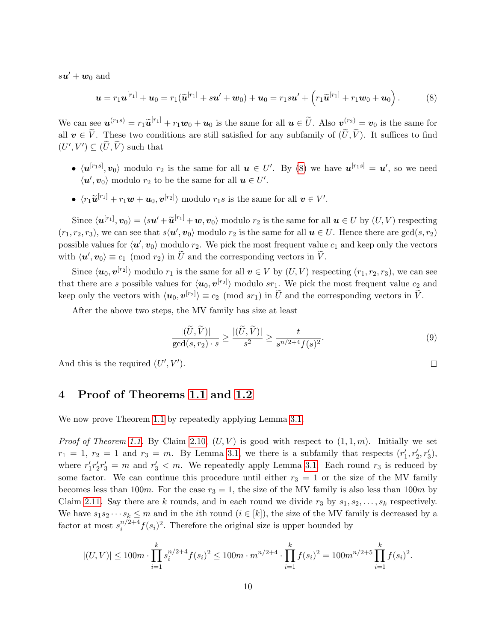$s\boldsymbol{u}'+\boldsymbol{w}_0$  and

<span id="page-9-1"></span>
$$
\mathbf{u} = r_1 \mathbf{u}^{[r_1]} + \mathbf{u}_0 = r_1 (\widetilde{\mathbf{u}}^{[r_1]} + s \mathbf{u}' + \mathbf{w}_0) + \mathbf{u}_0 = r_1 s \mathbf{u}' + \left( r_1 \widetilde{\mathbf{u}}^{[r_1]} + r_1 \mathbf{w}_0 + \mathbf{u}_0 \right). \tag{8}
$$

We can see  $u^{(r_1 s)} = r_1 \widetilde{u}^{[r_1]} + r_1 w_0 + u_0$  is the same for all  $u \in \widetilde{U}$ . Also  $v^{(r_2)} = v_0$  is the same for all  $v \in \tilde{V}$ . These two conditions are still satisfied for any subfamily of  $(\tilde{U}, \tilde{V})$ . It suffices to find  $(U', V') \subseteq (\tilde{U}, \tilde{V})$  such that

- $\langle u^{[r_1s]}, v_0 \rangle$  modulo  $r_2$  is the same for all  $u \in U'$ . By [\(8\)](#page-9-1) we have  $u^{[r_1s]} = u'$ , so we need  $\langle u', v_0 \rangle$  modulo  $r_2$  to be the same for all  $u \in U'.$
- $\langle r_1 \widetilde{\boldsymbol{u}}^{[r_1]} + r_1 \boldsymbol{w} + \boldsymbol{u}_0, \boldsymbol{v}^{[r_2]} \rangle$  modulo  $r_1 s$  is the same for all  $\boldsymbol{v} \in V'.$

Since  $\langle \boldsymbol{u}^{[r_1]}, \boldsymbol{v}_0 \rangle = \langle s \boldsymbol{u}' + \widetilde{\boldsymbol{u}}^{[r_1]} + \boldsymbol{w}, \boldsymbol{v}_0 \rangle$  modulo  $r_2$  is the same for all  $\boldsymbol{u} \in U$  by  $(U, V)$  respecting  $(r_1, r_2, r_3)$ , we can see that  $s\langle u', v_0 \rangle$  modulo  $r_2$  is the same for all  $u \in U$ . Hence there are  $gcd(s, r_2)$ possible values for  $\langle u', v_0 \rangle$  modulo  $r_2$ . We pick the most frequent value  $c_1$  and keep only the vectors with  $\langle \boldsymbol{u}', \boldsymbol{v}_0 \rangle \equiv c_1 \pmod{r_2}$  in  $\widetilde{U}$  and the corresponding vectors in  $\widetilde{V}$ .

Since  $\langle u_0, v^{[r_2]} \rangle$  modulo  $r_1$  is the same for all  $v \in V$  by  $(U, V)$  respecting  $(r_1, r_2, r_3)$ , we can see that there are s possible values for  $\langle u_0, v^{[r_2]} \rangle$  modulo sr<sub>1</sub>. We pick the most frequent value  $c_2$  and keep only the vectors with  $\langle u_0, v^{[r_2]} \rangle \equiv c_2 \pmod{sr_1}$  in  $\tilde{U}$  and the corresponding vectors in  $\tilde{V}$ .

After the above two steps, the MV family has size at least

<span id="page-9-2"></span>
$$
\frac{|(\widetilde{U}, \widetilde{V})|}{\gcd(s, r_2) \cdot s} \ge \frac{|(\widetilde{U}, \widetilde{V})|}{s^2} \ge \frac{t}{s^{n/2 + 4} f(s)^2}.
$$
\n(9)

And this is the required  $(U', V')$ .

## <span id="page-9-0"></span>4 Proof of Theorems [1.1](#page-1-0) and [1.2](#page-2-0)

We now prove Theorem [1.1](#page-1-0) by repeatedly applying Lemma [3.1.](#page-6-1)

*Proof of Theorem [1.1.](#page-1-0)* By Claim [2.10,](#page-5-1)  $(U, V)$  is good with respect to  $(1, 1, m)$ . Initially we set  $r_1 = 1, r_2 = 1$  and  $r_3 = m$ . By Lemma [3.1,](#page-6-1) we there is a subfamily that respects  $(r'_1, r'_2, r'_3)$ , where  $r'_1r'_2r'_3 = m$  and  $r'_3 < m$ . We repeatedly apply Lemma [3.1.](#page-6-1) Each round  $r_3$  is reduced by some factor. We can continue this procedure until either  $r_3 = 1$  or the size of the MV family becomes less than 100m. For the case  $r_3 = 1$ , the size of the MV family is also less than 100m by Claim [2.11.](#page-5-2) Say there are k rounds, and in each round we divide  $r_3$  by  $s_1, s_2, \ldots, s_k$  respectively. We have  $s_1s_2\cdots s_k\leq m$  and in the *i*th round  $(i \in [k])$ , the size of the MV family is decreased by a factor at most  $s_i^{n/2+4}$  $i^{n/2+4} f(s_i)^2$ . Therefore the original size is upper bounded by

$$
|(U,V)| \leq 100m \cdot \prod_{i=1}^k s_i^{n/2+4} f(s_i)^2 \leq 100m \cdot m^{n/2+4} \cdot \prod_{i=1}^k f(s_i)^2 = 100m^{n/2+5} \prod_{i=1}^k f(s_i)^2.
$$

 $\Box$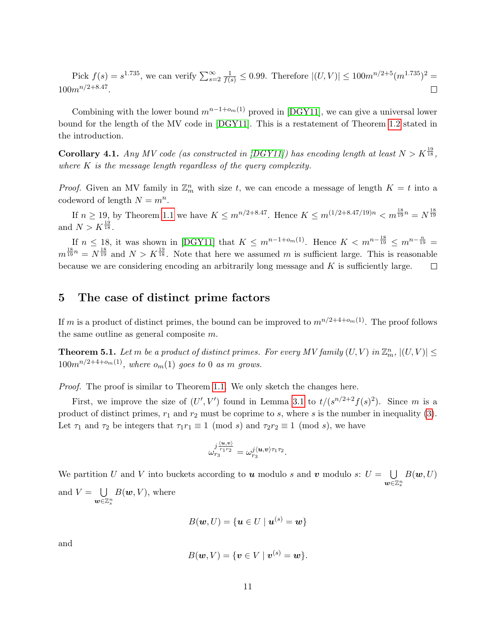Pick  $f(s) = s^{1.735}$ , we can verify  $\sum_{s=2}^{\infty} \frac{1}{f(s)} \le 0.99$ . Therefore  $|(U, V)| \le 100m^{n/2+5}(m^{1.735})^2$  $100m^{n/2+8.47}$ .  $\Box$ 

Combining with the lower bound  $m^{n-1+o_m(1)}$  proved in [\[DGY11\]](#page-12-1), we can give a universal lower bound for the length of the MV code in [\[DGY11\]](#page-12-1). This is a restatement of Theorem [1.2](#page-2-0) stated in the introduction.

**Corollary 4.1.** Any MV code (as constructed in [\[DGY11\]](#page-12-1)) has encoding length at least  $N > K^{\frac{19}{18}}$ , where  $K$  is the message length regardless of the query complexity.

*Proof.* Given an MV family in  $\mathbb{Z}_m^n$  with size t, we can encode a message of length  $K = t$  into a codeword of length  $N = m^n$ .

If  $n \geq 19$ , by Theorem [1.1](#page-1-0) we have  $K \leq m^{n/2+8.47}$ . Hence  $K \leq m^{(1/2+8.47/19)n} < m^{\frac{18}{19}n} = N^{\frac{18}{19}}$ and  $N > K^{\frac{19}{18}}$ .

If  $n \leq 18$ , it was shown in [\[DGY11\]](#page-12-1) that  $K \leq m^{n-1+\omega_m(1)}$ . Hence  $K < m^{n-\frac{18}{19}} \leq m^{n-\frac{n}{19}} =$  $m^{\frac{18}{19}n} = N^{\frac{18}{19}}$  and  $N > K^{\frac{19}{18}}$ . Note that here we assumed m is sufficient large. This is reasonable because we are considering encoding an arbitrarily long message and  $K$  is sufficiently large.  $\Box$ 

# <span id="page-10-0"></span>5 The case of distinct prime factors

If m is a product of distinct primes, the bound can be improved to  $m^{n/2+4+o_m(1)}$ . The proof follows the same outline as general composite m.

**Theorem 5.1.** Let m be a product of distinct primes. For every MV family  $(U, V)$  in  $\mathbb{Z}_m^n$ ,  $|(U, V)| \leq$  $100m^{n/2+4+o_m(1)}$ , where  $o_m(1)$  goes to 0 as m grows.

Proof. The proof is similar to Theorem [1.1.](#page-1-0) We only sketch the changes here.

First, we improve the size of  $(U', V')$  found in Lemma [3.1](#page-6-1) to  $t/(s^{n/2+2}f(s)^2)$ . Since m is a product of distinct primes,  $r_1$  and  $r_2$  must be coprime to s, where s is the number in inequality [\(3\)](#page-6-2). Let  $\tau_1$  and  $\tau_2$  be integers that  $\tau_1 r_1 \equiv 1 \pmod{s}$  and  $\tau_2 r_2 \equiv 1 \pmod{s}$ , we have

$$
\omega_{r_3}^{j\frac{\langle \boldsymbol{u}, \boldsymbol{v} \rangle}{r_1r_2}} = \omega_{r_3}^{j\langle \boldsymbol{u}, \boldsymbol{v} \rangle \tau_1 \tau_2}.
$$

We partition U and V into buckets according to **u** modulo s and **v** modulo s:  $U = \bigcup$  $\substack{\mathbf{w}\in\mathbb{Z}\mathbb{z}^n \ \ \, }$  $B(\boldsymbol{w},U)$ and  $V = \bigcup$  $B(w, V)$ , where

 $\tilde{\bm{w}}$ ∈ $\mathbb{Z}^n_s$ 

$$
B(\mathbf{w}, U) = \{ \mathbf{u} \in U \mid \mathbf{u}^{(s)} = \mathbf{w} \}
$$

and

$$
B(\boldsymbol{w},V)=\{\boldsymbol{v}\in V\mid \boldsymbol{v}^{(s)}=\boldsymbol{w}\}.
$$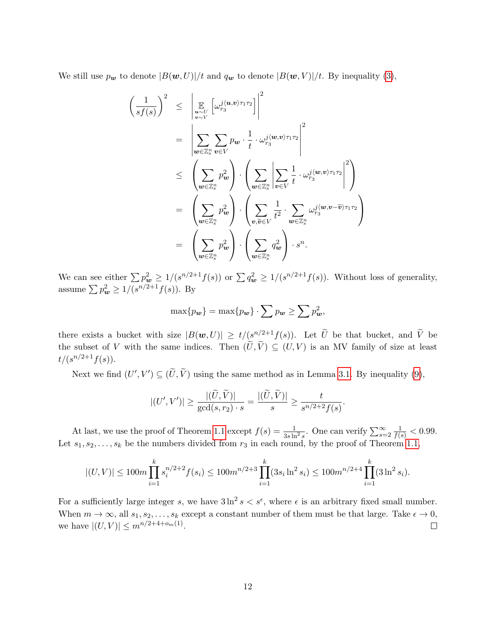We still use  $p_{w}$  to denote  $|B(w, U)|/t$  and  $q_{w}$  to denote  $|B(w, V)|/t$ . By inequality [\(3\)](#page-6-2),

$$
\left(\frac{1}{sf(s)}\right)^2 \leq \left|\mathop{\mathbb{E}}_{\substack{w \sim U \\ w \sim V}}\left[\omega_{rs}^{j\langle u, v \rangle \tau_1 \tau_2}\right]\right|^2
$$
\n
$$
= \left|\sum_{w \in \mathbb{Z}_s^n} \sum_{v \in V} p_w \cdot \frac{1}{t} \cdot \omega_{rs}^{j\langle w, v \rangle \tau_1 \tau_2}\right|^2
$$
\n
$$
\leq \left(\sum_{w \in \mathbb{Z}_s^n} p_w^2\right) \cdot \left(\sum_{w \in \mathbb{Z}_s^n} \left|\sum_{v \in V} \frac{1}{t} \cdot \omega_{rs}^{j\langle w, v \rangle \tau_1 \tau_2}\right|^2\right)
$$
\n
$$
= \left(\sum_{w \in \mathbb{Z}_s^n} p_w^2\right) \cdot \left(\sum_{v, \tilde{v} \in V} \frac{1}{t^2} \cdot \sum_{w \in \mathbb{Z}_s^n} \omega_{rs}^{j\langle w, v - \tilde{v} \rangle \tau_1 \tau_2}\right)
$$
\n
$$
= \left(\sum_{w \in \mathbb{Z}_s^n} p_w^2\right) \cdot \left(\sum_{w \in \mathbb{Z}_s^n} q_w^2\right) \cdot s^n.
$$

We can see either  $\sum p_{\bm{w}}^2 \ge 1/(s^{n/2+1}f(s))$  or  $\sum q_{\bm{w}}^2 \ge 1/(s^{n/2+1}f(s))$ . Without loss of generality, assume  $\sum p_{w}^{2} \ge 1/(s^{n/2+1}f(s))$ . By

$$
\max\{p_{\mathbf{w}}\} = \max\{p_{\mathbf{w}}\} \cdot \sum p_{\mathbf{w}} \ge \sum p_{\mathbf{w}}^2,
$$

there exists a bucket with size  $|B(w,U)| \ge t/(s^{n/2+1}f(s))$ . Let  $\widetilde{U}$  be that bucket, and  $\widetilde{V}$  be the subset of V with the same indices. Then  $(\tilde{U}, \tilde{V}) \subseteq (U, V)$  is an MV family of size at least  $t/(s^{n/2+1}f(s)).$ 

Next we find  $(U', V') \subseteq (\tilde{U}, \tilde{V})$  using the same method as in Lemma [3.1.](#page-6-1) By inequality [\(9\)](#page-9-2),

$$
|(U',V')|\geq \frac{|(\widetilde{U},\widetilde{V})|}{\gcd(s,r_2)\cdot s}=\frac{|(\widetilde{U},\widetilde{V})|}{s}\geq \frac{t}{s^{n/2+2}f(s)}.
$$

At last, we use the proof of Theorem [1.1](#page-1-0) except  $f(s) = \frac{1}{3s \ln^2 s}$ . One can verify  $\sum_{s=2}^{\infty} \frac{1}{f(s)} < 0.99$ . Let  $s_1, s_2, \ldots, s_k$  be the numbers divided from  $r_3$  in each round, by the proof of Theorem [1.1,](#page-1-0)

$$
|(U,V)| \le 100m \prod_{i=1}^k s_i^{n/2+2} f(s_i) \le 100m^{n/2+3} \prod_{i=1}^k (3s_i \ln^2 s_i) \le 100m^{n/2+4} \prod_{i=1}^k (3 \ln^2 s_i).
$$

For a sufficiently large integer s, we have  $3 \ln^2 s < s^{\epsilon}$ , where  $\epsilon$  is an arbitrary fixed small number. When  $m \to \infty$ , all  $s_1, s_2, \ldots, s_k$  except a constant number of them must be that large. Take  $\epsilon \to 0$ , we have  $|(U, V)| \leq m^{n/2 + 4 + o_m(1)}$ .  $\Box$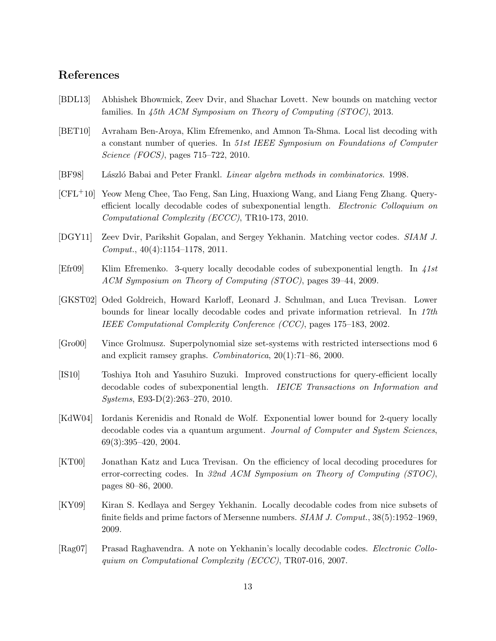# References

- <span id="page-12-0"></span>[BDL13] Abhishek Bhowmick, Zeev Dvir, and Shachar Lovett. New bounds on matching vector families. In 45th ACM Symposium on Theory of Computing (STOC), 2013.
- <span id="page-12-12"></span>[BET10] Avraham Ben-Aroya, Klim Efremenko, and Amnon Ta-Shma. Local list decoding with a constant number of queries. In 51st IEEE Symposium on Foundations of Computer Science (FOCS), pages 715–722, 2010.
- <span id="page-12-4"></span>[BF98] László Babai and Peter Frankl. *Linear algebra methods in combinatorics.* 1998.
- <span id="page-12-11"></span>[CFL+10] Yeow Meng Chee, Tao Feng, San Ling, Huaxiong Wang, and Liang Feng Zhang. Queryefficient locally decodable codes of subexponential length. Electronic Colloquium on Computational Complexity (ECCC), TR10-173, 2010.
- <span id="page-12-1"></span>[DGY11] Zeev Dvir, Parikshit Gopalan, and Sergey Yekhanin. Matching vector codes. SIAM J. Comput., 40(4):1154–1178, 2011.
- <span id="page-12-3"></span>[Efr09] Klim Efremenko. 3-query locally decodable codes of subexponential length. In 41st ACM Symposium on Theory of Computing (STOC), pages 39–44, 2009.
- <span id="page-12-6"></span>[GKST02] Oded Goldreich, Howard Karloff, Leonard J. Schulman, and Luca Trevisan. Lower bounds for linear locally decodable codes and private information retrieval. In 17th IEEE Computational Complexity Conference (CCC), pages 175–183, 2002.
- <span id="page-12-2"></span>[Gro00] Vince Grolmusz. Superpolynomial size set-systems with restricted intersections mod 6 and explicit ramsey graphs. Combinatorica, 20(1):71–86, 2000.
- <span id="page-12-10"></span>[IS10] Toshiya Itoh and Yasuhiro Suzuki. Improved constructions for query-efficient locally decodable codes of subexponential length. IEICE Transactions on Information and Systems, E93-D(2):263–270, 2010.
- <span id="page-12-7"></span>[KdW04] Iordanis Kerenidis and Ronald de Wolf. Exponential lower bound for 2-query locally decodable codes via a quantum argument. Journal of Computer and System Sciences, 69(3):395–420, 2004.
- <span id="page-12-5"></span>[KT00] Jonathan Katz and Luca Trevisan. On the efficiency of local decoding procedures for error-correcting codes. In 32nd ACM Symposium on Theory of Computing (STOC), pages 80–86, 2000.
- <span id="page-12-9"></span>[KY09] Kiran S. Kedlaya and Sergey Yekhanin. Locally decodable codes from nice subsets of finite fields and prime factors of Mersenne numbers. SIAM J. Comput., 38(5):1952–1969, 2009.
- <span id="page-12-8"></span>[Rag07] Prasad Raghavendra. A note on Yekhanin's locally decodable codes. Electronic Colloquium on Computational Complexity (ECCC), TR07-016, 2007.